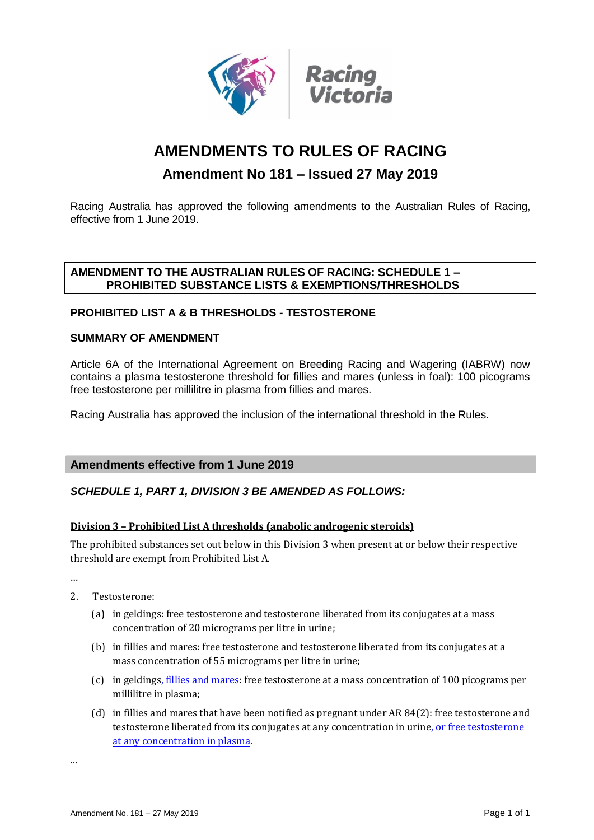

# **AMENDMENTS TO RULES OF RACING**

## **Amendment No 181 – Issued 27 May 2019**

Racing Australia has approved the following amendments to the Australian Rules of Racing, effective from 1 June 2019.

## **AMENDMENT TO THE AUSTRALIAN RULES OF RACING: SCHEDULE 1 – PROHIBITED SUBSTANCE LISTS & EXEMPTIONS/THRESHOLDS**

## **PROHIBITED LIST A & B THRESHOLDS - TESTOSTERONE**

## **SUMMARY OF AMENDMENT**

Article 6A of the International Agreement on Breeding Racing and Wagering (IABRW) now contains a plasma testosterone threshold for fillies and mares (unless in foal): 100 picograms free testosterone per millilitre in plasma from fillies and mares.

Racing Australia has approved the inclusion of the international threshold in the Rules.

## **Amendments effective from 1 June 2019**

## *SCHEDULE 1, PART 1, DIVISION 3 BE AMENDED AS FOLLOWS:*

#### **Division 3 – Prohibited List A thresholds (anabolic androgenic steroids)**

The prohibited substances set out below in this Division 3 when present at or below their respective threshold are exempt from Prohibited List A.

…

- 2. Testosterone:
	- (a) in geldings: free testosterone and testosterone liberated from its conjugates at a mass concentration of 20 micrograms per litre in urine;
	- (b) in fillies and mares: free testosterone and testosterone liberated from its conjugates at a mass concentration of 55 micrograms per litre in urine;
	- (c) in geldings, fillies and mares: free testosterone at a mass concentration of 100 picograms per millilitre in plasma;
	- (d) in fillies and mares that have been notified as pregnant under AR 84(2): free testosterone and testosterone liberated from its conjugates at any concentration in urine, or free testosterone at any concentration in plasma.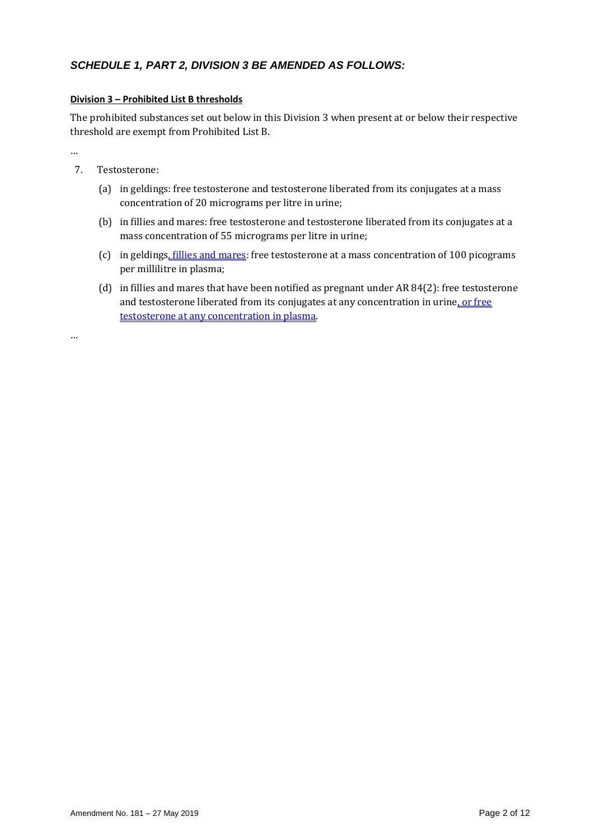## *SCHEDULE 1, PART 2, DIVISION 3 BE AMENDED AS FOLLOWS:*

#### **Division 3 – Prohibited List B thresholds**

The prohibited substances set out below in this Division 3 when present at or below their respective threshold are exempt from Prohibited List B.

…

- 7. Testosterone:
	- (a) in geldings: free testosterone and testosterone liberated from its conjugates at a mass concentration of 20 micrograms per litre in urine;
	- (b) in fillies and mares: free testosterone and testosterone liberated from its conjugates at a mass concentration of 55 micrograms per litre in urine;
	- (c) in geldings, fillies and mares: free testosterone at a mass concentration of 100 picograms per millilitre in plasma;
	- (d) in fillies and mares that have been notified as pregnant under AR 84(2): free testosterone and testosterone liberated from its conjugates at any concentration in urine, or free testosterone at any concentration in plasma.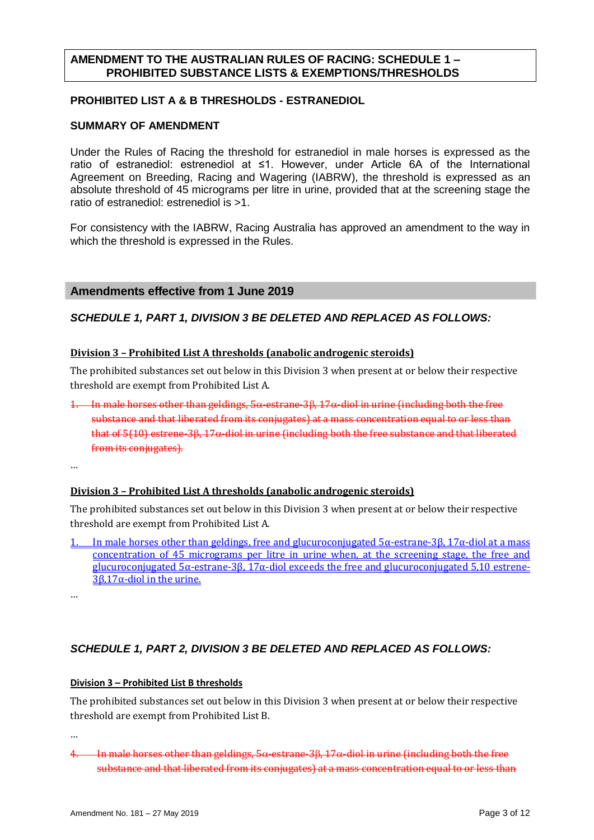## **AMENDMENT TO THE AUSTRALIAN RULES OF RACING: SCHEDULE 1 – PROHIBITED SUBSTANCE LISTS & EXEMPTIONS/THRESHOLDS**

#### **PROHIBITED LIST A & B THRESHOLDS - ESTRANEDIOL**

## **SUMMARY OF AMENDMENT**

Under the Rules of Racing the threshold for estranediol in male horses is expressed as the ratio of estranediol: estrenediol at ≤1. However, under Article 6A of the International Agreement on Breeding, Racing and Wagering (IABRW), the threshold is expressed as an absolute threshold of 45 micrograms per litre in urine, provided that at the screening stage the ratio of estranediol: estrenediol is >1.

For consistency with the IABRW, Racing Australia has approved an amendment to the way in which the threshold is expressed in the Rules.

## **Amendments effective from 1 June 2019**

## *SCHEDULE 1, PART 1, DIVISION 3 BE DELETED AND REPLACED AS FOLLOWS:*

#### **Division 3 – Prohibited List A thresholds (anabolic androgenic steroids)**

The prohibited substances set out below in this Division 3 when present at or below their respective threshold are exempt from Prohibited List A.

1. In male horses other than geldings,  $5\alpha$ -estrane-3 $\beta$ , 17 $\alpha$ -diol in urine (including both the free substance and that liberated from its conjugates) at a mass concentration equal to or less than that of  $5(10)$  estrene- $36, 17\alpha$  diol in urine (including both the free substance and that liberated from its conjugates).

…

#### **Division 3 – Prohibited List A thresholds (anabolic androgenic steroids)**

The prohibited substances set out below in this Division 3 when present at or below their respective threshold are exempt from Prohibited List A.

- In male horses other than geldings, free and glucuroconjugated  $5α$ -estrane-3β, 17α-diol at a mass concentration of 45 micrograms per litre in urine when, at the screening stage, the free and glucuroconjugated 5α-estrane-3β, 17α-diol exceeds the free and glucuroconjugated 5,10 estrene-3β,17α-diol in the urine.
- …

## *SCHEDULE 1, PART 2, DIVISION 3 BE DELETED AND REPLACED AS FOLLOWS:*

#### **Division 3 – Prohibited List B thresholds**

The prohibited substances set out below in this Division 3 when present at or below their respective threshold are exempt from Prohibited List B.

 $4.$  In male horses other than geldings,  $5\alpha$ -estrane- $3\beta$ ,  $17\alpha$ -diol in urine (including both the free substance and that liberated from its conjugates) at a mass concentration equal to or less than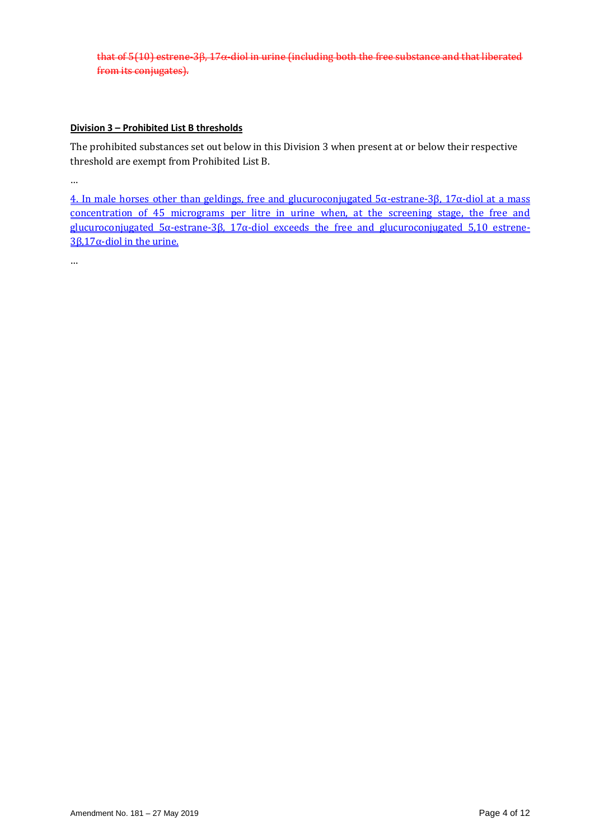that of  $5(10)$  estrene-3 $\beta$ ,  $17\alpha$ -diol in urine (including both the free substance and that liberated from its conjugates).

#### **Division 3 – Prohibited List B thresholds**

The prohibited substances set out below in this Division 3 when present at or below their respective threshold are exempt from Prohibited List B.

…

4. In male horses other than geldings, free and glucuroconjugated 5α-estrane-3β, 17α-diol at a mass concentration of 45 micrograms per litre in urine when, at the screening stage, the free and glucuroconjugated 5α-estrane-3β, 17α-diol exceeds the free and glucuroconjugated 5,10 estrene-3β,17 $α$ -diol in the urine.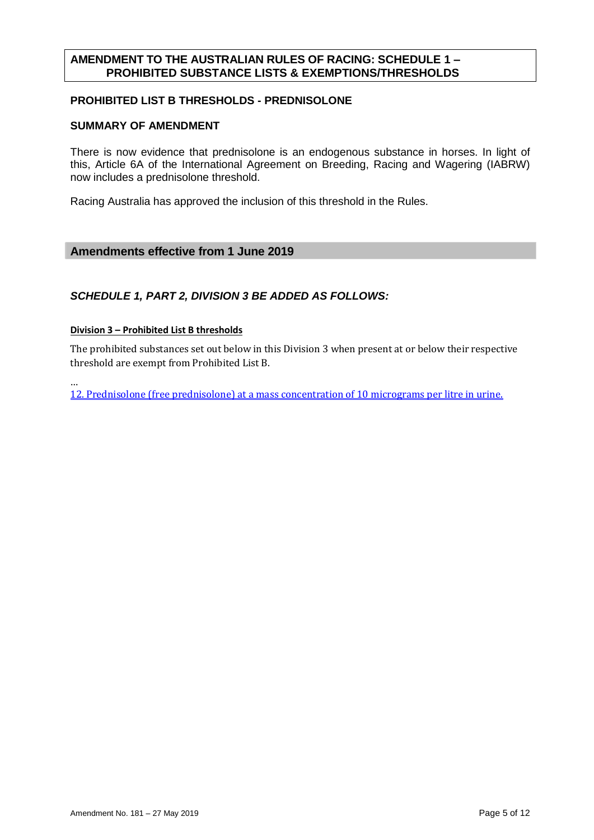## **AMENDMENT TO THE AUSTRALIAN RULES OF RACING: SCHEDULE 1 – PROHIBITED SUBSTANCE LISTS & EXEMPTIONS/THRESHOLDS**

## **PROHIBITED LIST B THRESHOLDS - PREDNISOLONE**

## **SUMMARY OF AMENDMENT**

There is now evidence that prednisolone is an endogenous substance in horses. In light of this, Article 6A of the International Agreement on Breeding, Racing and Wagering (IABRW) now includes a prednisolone threshold.

Racing Australia has approved the inclusion of this threshold in the Rules.

## **Amendments effective from 1 June 2019**

## *SCHEDULE 1, PART 2, DIVISION 3 BE ADDED AS FOLLOWS:*

#### **Division 3 – Prohibited List B thresholds**

…

The prohibited substances set out below in this Division 3 when present at or below their respective threshold are exempt from Prohibited List B.

12. Prednisolone (free prednisolone) at a mass concentration of 10 micrograms per litre in urine.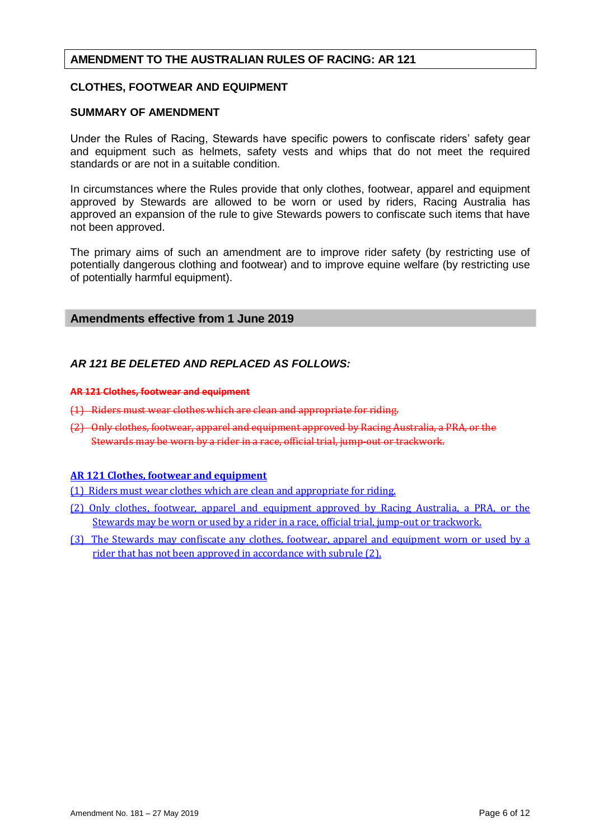#### **CLOTHES, FOOTWEAR AND EQUIPMENT**

#### **SUMMARY OF AMENDMENT**

Under the Rules of Racing, Stewards have specific powers to confiscate riders' safety gear and equipment such as helmets, safety vests and whips that do not meet the required standards or are not in a suitable condition.

In circumstances where the Rules provide that only clothes, footwear, apparel and equipment approved by Stewards are allowed to be worn or used by riders, Racing Australia has approved an expansion of the rule to give Stewards powers to confiscate such items that have not been approved.

The primary aims of such an amendment are to improve rider safety (by restricting use of potentially dangerous clothing and footwear) and to improve equine welfare (by restricting use of potentially harmful equipment).

#### **Amendments effective from 1 June 2019**

## *AR 121 BE DELETED AND REPLACED AS FOLLOWS:*

#### **AR 121 Clothes, footwear and equipment**

- (1) Riders must wear clothes which are clean and appropriate for riding.
- (2) Only clothes, footwear, apparel and equipment approved by Racing Australia, a PRA, or the Stewards may be worn by a rider in a race, official trial, jump-out or trackwork.

#### **AR 121 Clothes, footwear and equipment**

(1) Riders must wear clothes which are clean and appropriate for riding.

- (2) Only clothes, footwear, apparel and equipment approved by Racing Australia, a PRA, or the Stewards may be worn or used by a rider in a race, official trial, jump-out or trackwork.
- (3) The Stewards may confiscate any clothes, footwear, apparel and equipment worn or used by a rider that has not been approved in accordance with subrule (2).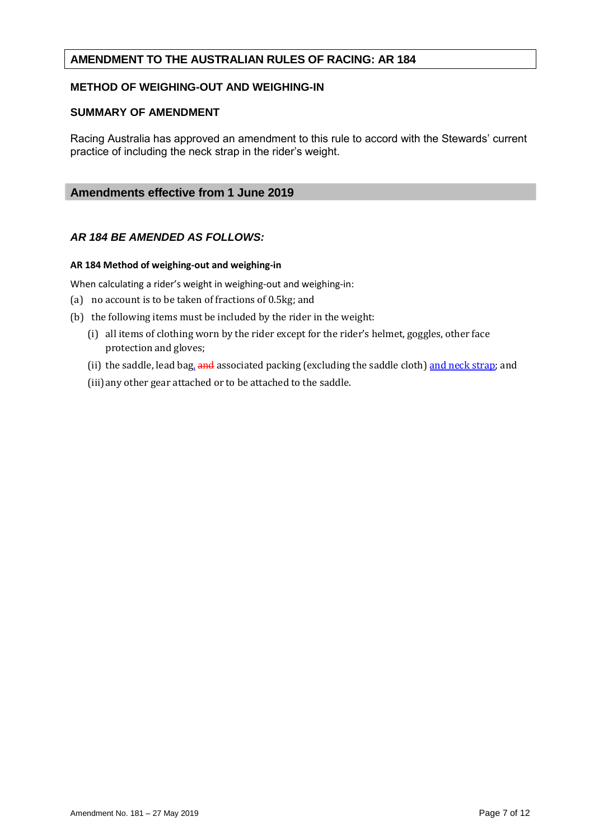## **METHOD OF WEIGHING-OUT AND WEIGHING-IN**

#### **SUMMARY OF AMENDMENT**

Racing Australia has approved an amendment to this rule to accord with the Stewards' current practice of including the neck strap in the rider's weight.

## **Amendments effective from 1 June 2019**

#### *AR 184 BE AMENDED AS FOLLOWS:*

#### **AR 184 Method of weighing-out and weighing-in**

When calculating a rider's weight in weighing-out and weighing-in:

- (a) no account is to be taken of fractions of 0.5kg; and
- (b) the following items must be included by the rider in the weight:
	- (i) all items of clothing worn by the rider except for the rider's helmet, goggles, other face protection and gloves;
	- (ii) the saddle, lead bag, and associated packing (excluding the saddle cloth) and neck strap; and

(iii)any other gear attached or to be attached to the saddle.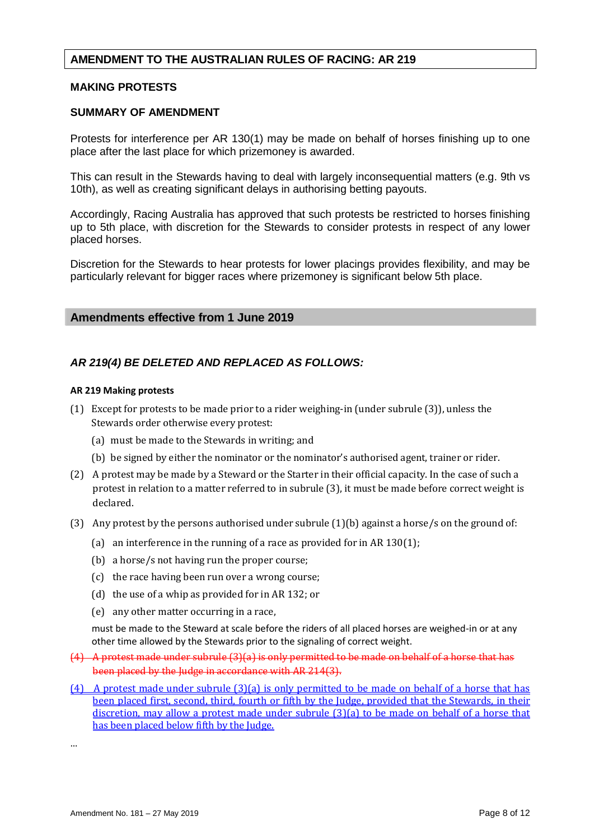#### **MAKING PROTESTS**

#### **SUMMARY OF AMENDMENT**

Protests for interference per AR 130(1) may be made on behalf of horses finishing up to one place after the last place for which prizemoney is awarded.

This can result in the Stewards having to deal with largely inconsequential matters (e.g. 9th vs 10th), as well as creating significant delays in authorising betting payouts.

Accordingly, Racing Australia has approved that such protests be restricted to horses finishing up to 5th place, with discretion for the Stewards to consider protests in respect of any lower placed horses.

Discretion for the Stewards to hear protests for lower placings provides flexibility, and may be particularly relevant for bigger races where prizemoney is significant below 5th place.

#### **Amendments effective from 1 June 2019**

#### *AR 219(4) BE DELETED AND REPLACED AS FOLLOWS:*

#### **AR 219 Making protests**

- (1) Except for protests to be made prior to a rider weighing-in (under subrule (3)), unless the Stewards order otherwise every protest:
	- (a) must be made to the Stewards in writing; and
	- (b) be signed by either the nominator or the nominator's authorised agent, trainer or rider.
- (2) A protest may be made by a Steward or the Starter in their official capacity. In the case of such a protest in relation to a matter referred to in subrule (3), it must be made before correct weight is declared.
- (3) Any protest by the persons authorised under subrule (1)(b) against a horse/s on the ground of:
	- (a) an interference in the running of a race as provided for in AR 130(1);
	- (b) a horse/s not having run the proper course;
	- (c) the race having been run over a wrong course;
	- (d) the use of a whip as provided for in AR 132; or
	- (e) any other matter occurring in a race,

must be made to the Steward at scale before the riders of all placed horses are weighed-in or at any other time allowed by the Stewards prior to the signaling of correct weight.

- (4) A protest made under subrule (3)(a) is only permitted to be made on behalf of a horse that has been placed by the Judge in accordance with AR 214(3).
- (4) A protest made under subrule (3)(a) is only permitted to be made on behalf of a horse that has been placed first, second, third, fourth or fifth by the Judge, provided that the Stewards, in their discretion, may allow a protest made under subrule (3)(a) to be made on behalf of a horse that has been placed below fifth by the Judge.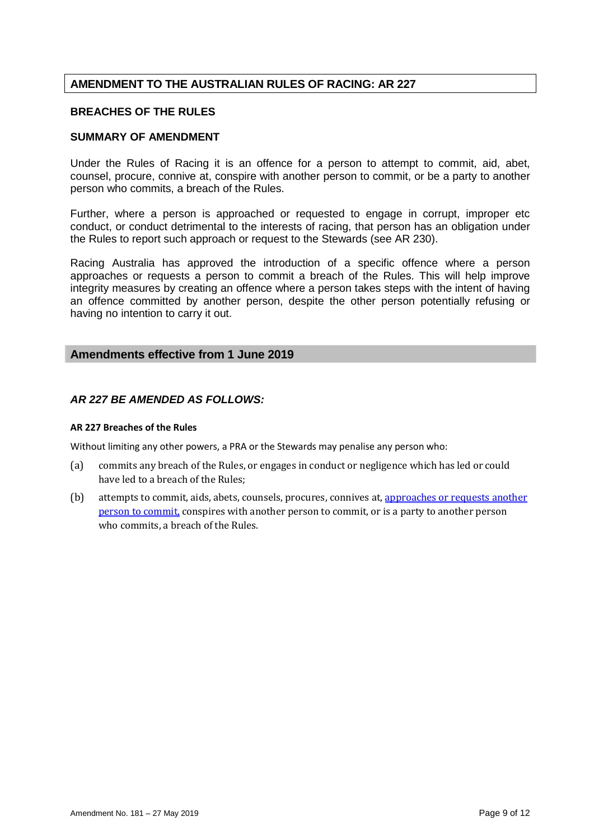#### **BREACHES OF THE RULES**

## **SUMMARY OF AMENDMENT**

Under the Rules of Racing it is an offence for a person to attempt to commit, aid, abet, counsel, procure, connive at, conspire with another person to commit, or be a party to another person who commits, a breach of the Rules.

Further, where a person is approached or requested to engage in corrupt, improper etc conduct, or conduct detrimental to the interests of racing, that person has an obligation under the Rules to report such approach or request to the Stewards (see AR 230).

Racing Australia has approved the introduction of a specific offence where a person approaches or requests a person to commit a breach of the Rules. This will help improve integrity measures by creating an offence where a person takes steps with the intent of having an offence committed by another person, despite the other person potentially refusing or having no intention to carry it out.

## **Amendments effective from 1 June 2019**

## *AR 227 BE AMENDED AS FOLLOWS:*

#### **AR 227 Breaches of the Rules**

Without limiting any other powers, a PRA or the Stewards may penalise any person who:

- (a) commits any breach of the Rules, or engages in conduct or negligence which has led or could have led to a breach of the Rules;
- (b) attempts to commit, aids, abets, counsels, procures, connives at, approaches or requests another person to commit, conspires with another person to commit, or is a party to another person who commits, a breach of the Rules.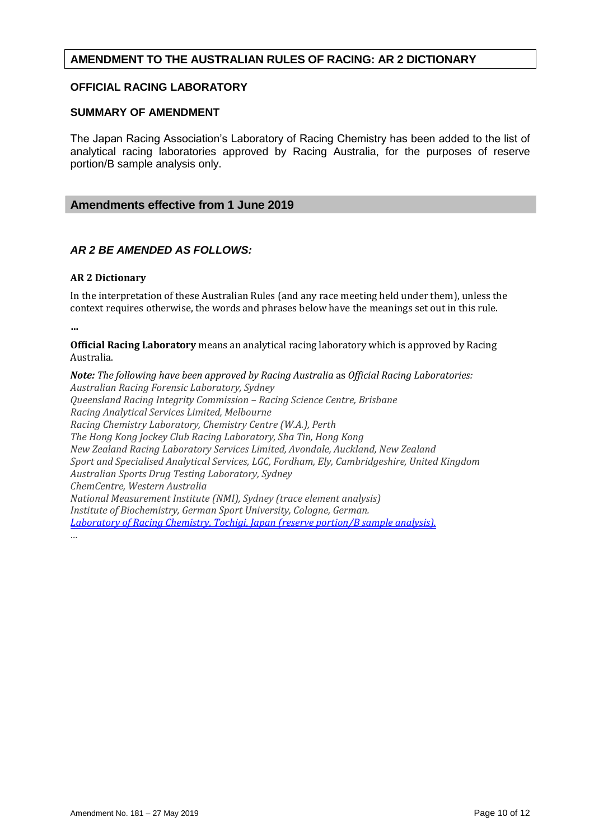## **AMENDMENT TO THE AUSTRALIAN RULES OF RACING: AR 2 DICTIONARY**

#### **OFFICIAL RACING LABORATORY**

#### **SUMMARY OF AMENDMENT**

The Japan Racing Association's Laboratory of Racing Chemistry has been added to the list of analytical racing laboratories approved by Racing Australia, for the purposes of reserve portion/B sample analysis only.

#### **Amendments effective from 1 June 2019**

#### *AR 2 BE AMENDED AS FOLLOWS:*

#### **AR 2 Dictionary**

In the interpretation of these Australian Rules (and any race meeting held under them), unless the context requires otherwise, the words and phrases below have the meanings set out in this rule.

**…**

**Official Racing Laboratory** means an analytical racing laboratory which is approved by Racing Australia.

*Note: The following have been approved by Racing Australia* as *Official Racing Laboratories: Australian Racing Forensic Laboratory, Sydney Queensland Racing Integrity Commission – Racing Science Centre, Brisbane Racing Analytical Services Limited, Melbourne Racing Chemistry Laboratory, Chemistry Centre (W.A.), Perth The Hong Kong Jockey Club Racing Laboratory, Sha Tin, Hong Kong New Zealand Racing Laboratory Services Limited, Avondale, Auckland, New Zealand Sport and Specialised Analytical Services, LGC, Fordham, Ely, Cambridgeshire, United Kingdom Australian Sports Drug Testing Laboratory, Sydney ChemCentre, Western Australia National Measurement Institute (NMI), Sydney (trace element analysis) Institute of Biochemistry, German Sport University, Cologne, German. Laboratory of Racing Chemistry, Tochigi, Japan (reserve portion/B sample analysis). …*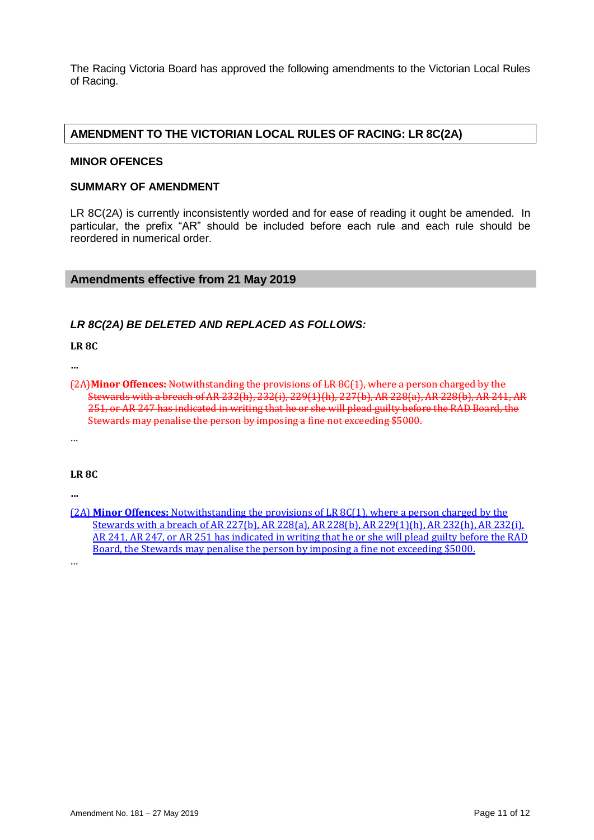The Racing Victoria Board has approved the following amendments to the Victorian Local Rules of Racing.

## **AMENDMENT TO THE VICTORIAN LOCAL RULES OF RACING: LR 8C(2A)**

#### **MINOR OFENCES**

#### **SUMMARY OF AMENDMENT**

LR 8C(2A) is currently inconsistently worded and for ease of reading it ought be amended. In particular, the prefix "AR" should be included before each rule and each rule should be reordered in numerical order.

#### **Amendments effective from 21 May 2019**

#### *LR 8C(2A) BE DELETED AND REPLACED AS FOLLOWS:*

**LR 8C** 

**…**

(2A)**Minor Offences:** Notwithstanding the provisions of LR 8C(1), where a person charged by the Stewards with a breach of AR 232(h), 232(i), 229(1)(h), 227(b), AR 228(a), AR 228(b), AR 241, AR 251, or AR 247 has indicated in writing that he or she will plead guilty before the RAD Board, the Stewards may penalise the person by imposing a fine not exceeding \$5000.

…

#### **LR 8C**

**…**

(2A) **Minor Offences:** Notwithstanding the provisions of LR 8C(1), where a person charged by the Stewards with a breach of AR 227(b), AR 228(a), AR 228(b), AR 229(1)(h), AR 232(h), AR 232(i), AR 241, AR 247, or AR 251 has indicated in writing that he or she will plead guilty before the RAD Board, the Stewards may penalise the person by imposing a fine not exceeding \$5000.